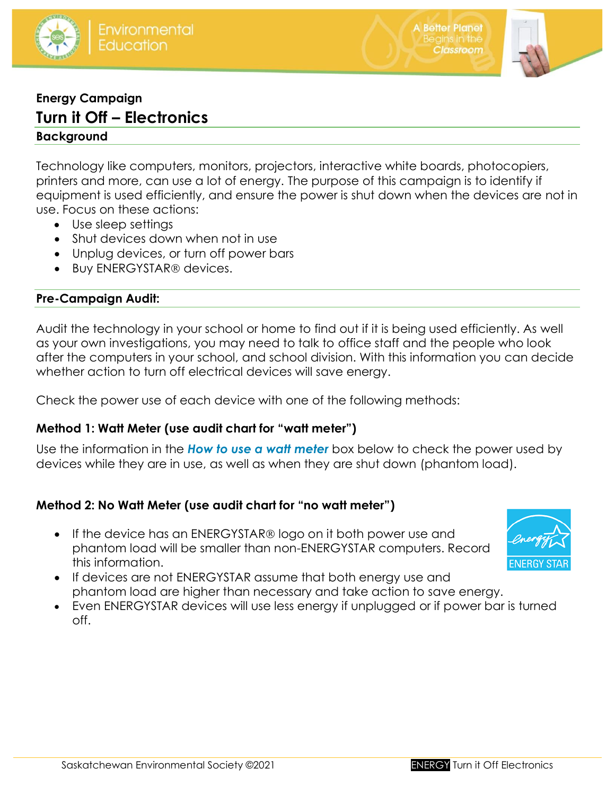

**A Better Planet** 

**Classroom** 

# **Energy Campaign Turn it Off – Electronics Background**

Technology like computers, monitors, projectors, interactive white boards, photocopiers, printers and more, can use a lot of energy. The purpose of this campaign is to identify if equipment is used efficiently, and ensure the power is shut down when the devices are not in use. Focus on these actions:

- Use sleep settings
- Shut devices down when not in use
- Unplug devices, or turn off power bars
- Buy ENERGYSTAR<sup>®</sup> devices.

### **Pre-Campaign Audit:**

Audit the technology in your school or home to find out if it is being used efficiently. As well as your own investigations, you may need to talk to office staff and the people who look after the computers in your school, and school division. With this information you can decide whether action to turn off electrical devices will save energy.

Check the power use of each device with one of the following methods:

### **Method 1: Watt Meter (use audit chart for "watt meter")**

Use the information in the *How to use a watt meter* box below to check the power used by devices while they are in use, as well as when they are shut down (phantom load).

### **Method 2: No Watt Meter (use audit chart for "no watt meter")**

- If the device has an ENERGYSTAR® logo on it both power use and phantom load will be smaller than non-ENERGYSTAR computers. Record this information.
- 
- If devices are not ENERGYSTAR assume that both energy use and phantom load are higher than necessary and take action to save energy.
- Even ENERGYSTAR devices will use less energy if unplugged or if power bar is turned off.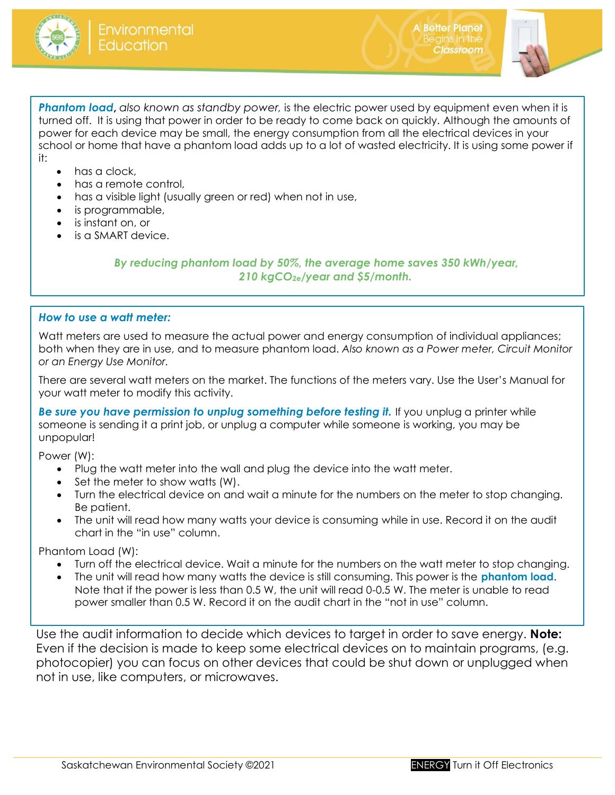



*Phantom load***,** *also known as standby power,* is the electric power used by equipment even when it is turned off. It is using that power in order to be ready to come back on quickly. Although the amounts of power for each device may be small, the energy consumption from all the electrical devices in your school or home that have a phantom load adds up to a lot of wasted electricity. It is using some power if it:

- has a clock,
- has a remote control,
- has a visible light (usually green or red) when not in use,
- is programmable,
- is instant on, or
- is a SMART device.

*By reducing phantom load by 50%, the average home saves 350 kWh/year, 210 kgCO2e/year and \$5/month.*

#### *How to use a watt meter:*

Watt meters are used to measure the actual power and energy consumption of individual appliances; both when they are in use, and to measure phantom load. *Also known as a Power meter, Circuit Monitor or an Energy Use Monitor.*

There are several watt meters on the market. The functions of the meters vary. Use the User's Manual for your watt meter to modify this activity.

**Be sure you have permission to unplug something before testing it.** If you unplug a printer while someone is sending it a print job, or unplug a computer while someone is working, you may be unpopular!

Power (W):

- Plug the watt meter into the wall and plug the device into the watt meter.
- Set the meter to show watts (W).
- Turn the electrical device on and wait a minute for the numbers on the meter to stop changing. Be patient.
- The unit will read how many watts your device is consuming while in use. Record it on the audit chart in the "in use" column.

Phantom Load (W):

- Turn off the electrical device. Wait a minute for the numbers on the watt meter to stop changing.
- The unit will read how many watts the device is still consuming. This power is the **phantom load**. Note that if the power is less than 0.5 W, the unit will read 0-0.5 W. The meter is unable to read power smaller than 0.5 W. Record it on the audit chart in the "not in use" column.

Use the audit information to decide which devices to target in order to save energy. **Note:**  Even if the decision is made to keep some electrical devices on to maintain programs, (e.g. photocopier) you can focus on other devices that could be shut down or unplugged when not in use, like computers, or microwaves.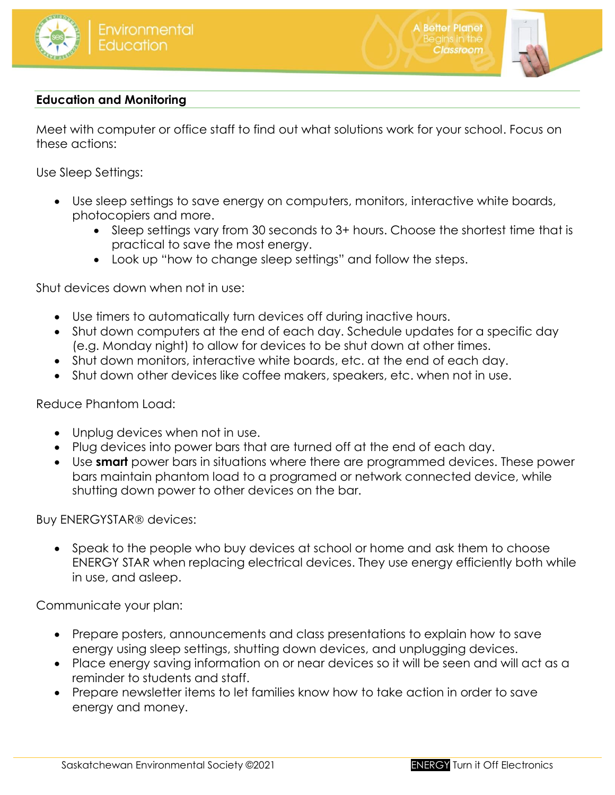



**A Better Planet** 

**Classroom** 

## **Education and Monitoring**

Meet with computer or office staff to find out what solutions work for your school. Focus on these actions:

Use Sleep Settings:

- Use sleep settings to save energy on computers, monitors, interactive white boards, photocopiers and more.
	- Sleep settings vary from 30 seconds to 3+ hours. Choose the shortest time that is practical to save the most energy.
	- Look up "how to change sleep settings" and follow the steps.

Shut devices down when not in use:

- Use timers to automatically turn devices off during inactive hours.
- Shut down computers at the end of each day. Schedule updates for a specific day (e.g. Monday night) to allow for devices to be shut down at other times.
- Shut down monitors, interactive white boards, etc. at the end of each day.
- Shut down other devices like coffee makers, speakers, etc. when not in use.

Reduce Phantom Load:

- Unplug devices when not in use.
- Plug devices into power bars that are turned off at the end of each day.
- Use **smart** power bars in situations where there are programmed devices. These power bars maintain phantom load to a programed or network connected device, while shutting down power to other devices on the bar.

Buy ENERGYSTAR<sup>®</sup> devices:

• Speak to the people who buy devices at school or home and ask them to choose ENERGY STAR when replacing electrical devices. They use energy efficiently both while in use, and asleep.

Communicate your plan:

- Prepare posters, announcements and class presentations to explain how to save energy using sleep settings, shutting down devices, and unplugging devices.
- Place energy saving information on or near devices so it will be seen and will act as a reminder to students and staff.
- Prepare newsletter items to let families know how to take action in order to save energy and money.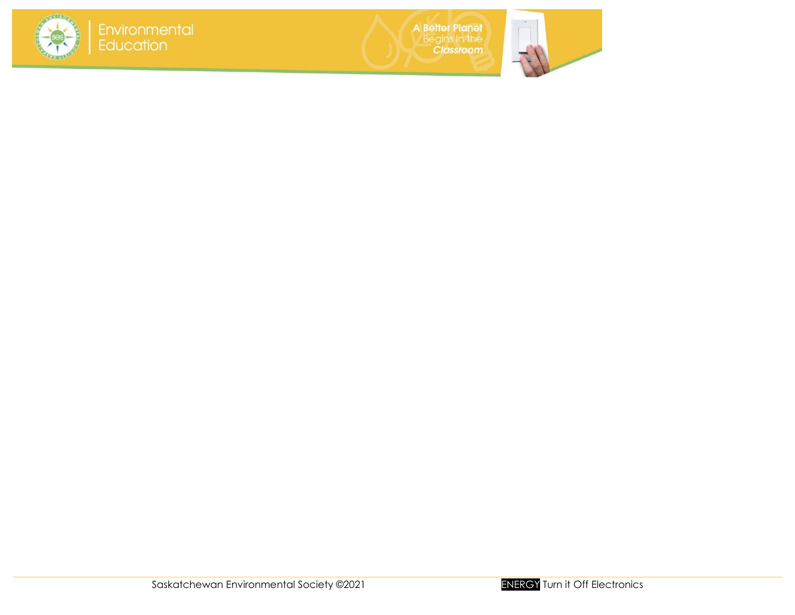

A Better Planet<br>Begins in the<br>Classroom

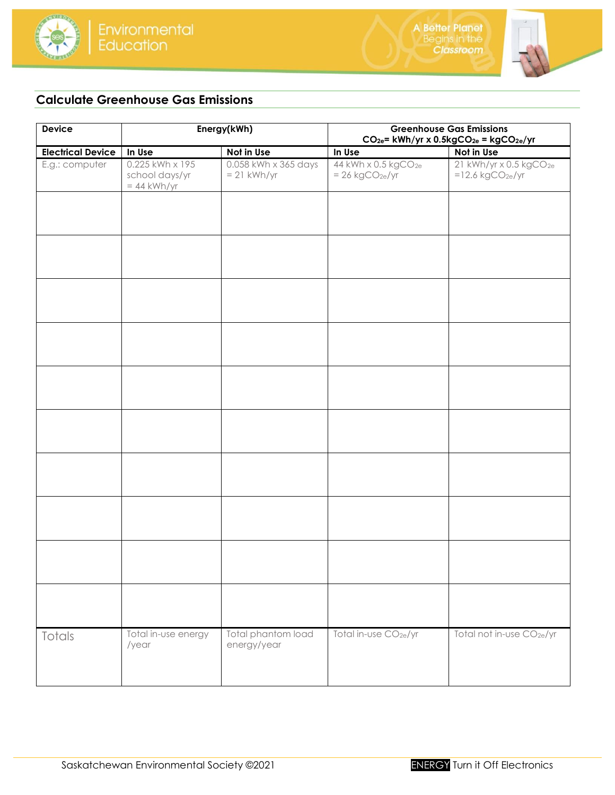



## **Calculate Greenhouse Gas Emissions**

| <b>Device</b>            | Energy(kWh)                                        |                                       | <b>Greenhouse Gas Emissions</b><br>$CO_{2e}$ = kWh/yr x 0.5kgCO <sub>2e</sub> = kgCO <sub>2e</sub> /yr |                                                                      |
|--------------------------|----------------------------------------------------|---------------------------------------|--------------------------------------------------------------------------------------------------------|----------------------------------------------------------------------|
| <b>Electrical Device</b> | In Use                                             | Not in Use                            | In Use                                                                                                 | Not in Use                                                           |
| E.g.: computer           | 0.225 kWh x 195<br>school days/yr<br>$= 44$ kWh/yr | 0.058 kWh x 365 days<br>$= 21$ kWh/yr | 44 kWh x 0.5 kgCO <sub>2e</sub><br>$= 26 \text{ kgCO}_{2e}/yr$                                         | 21 kWh/yr x 0.5 kgCO <sub>2e</sub><br>$=12.6$ kgCO <sub>2e</sub> /yr |
|                          |                                                    |                                       |                                                                                                        |                                                                      |
|                          |                                                    |                                       |                                                                                                        |                                                                      |
|                          |                                                    |                                       |                                                                                                        |                                                                      |
|                          |                                                    |                                       |                                                                                                        |                                                                      |
|                          |                                                    |                                       |                                                                                                        |                                                                      |
|                          |                                                    |                                       |                                                                                                        |                                                                      |
|                          |                                                    |                                       |                                                                                                        |                                                                      |
|                          |                                                    |                                       |                                                                                                        |                                                                      |
|                          |                                                    |                                       |                                                                                                        |                                                                      |
|                          |                                                    |                                       |                                                                                                        |                                                                      |
| Totals                   | Total in-use energy<br>/year                       | Total phantom load<br>energy/year     | Total in-use CO <sub>2e</sub> /yr                                                                      | Total not in-use CO <sub>2e</sub> /yr                                |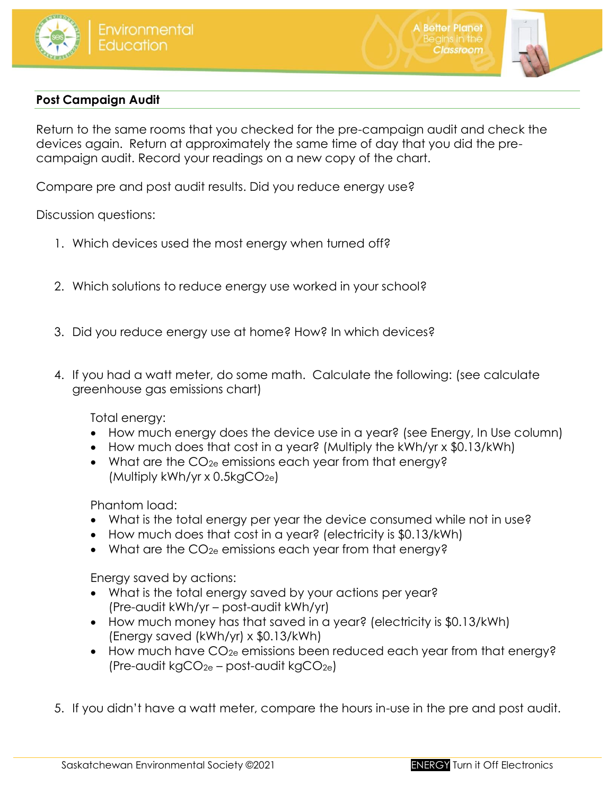



**Better Planet** 

ains in the

**Classroom** 

## **Post Campaign Audit**

Return to the same rooms that you checked for the pre-campaign audit and check the devices again. Return at approximately the same time of day that you did the precampaign audit. Record your readings on a new copy of the chart.

Compare pre and post audit results. Did you reduce energy use?

Discussion questions:

- 1. Which devices used the most energy when turned off?
- 2. Which solutions to reduce energy use worked in your school?
- 3. Did you reduce energy use at home? How? In which devices?
- 4. If you had a watt meter, do some math. Calculate the following: (see calculate greenhouse gas emissions chart)

Total energy:

- How much energy does the device use in a year? (see Energy, In Use column)
- How much does that cost in a year? (Multiply the kWh/yr x \$0.13/kWh)
- What are the  $CO_{2e}$  emissions each year from that energy? (Multiply kWh/yr x  $0.5kgCO_{2e}$ )

Phantom load:

- What is the total energy per year the device consumed while not in use?
- How much does that cost in a year? (electricity is \$0.13/kWh)
- What are the  $CO_{2e}$  emissions each year from that energy?

Energy saved by actions:

- What is the total energy saved by your actions per year? (Pre-audit kWh/yr – post-audit kWh/yr)
- How much money has that saved in a year? (electricity is \$0.13/kWh) (Energy saved (kWh/yr) x \$0.13/kWh)
- How much have  $CO_{2e}$  emissions been reduced each year from that energy? (Pre-audit kgCO<sub>2e</sub> – post-audit kgCO<sub>2e</sub>)
- 5. If you didn't have a watt meter, compare the hours in-use in the pre and post audit.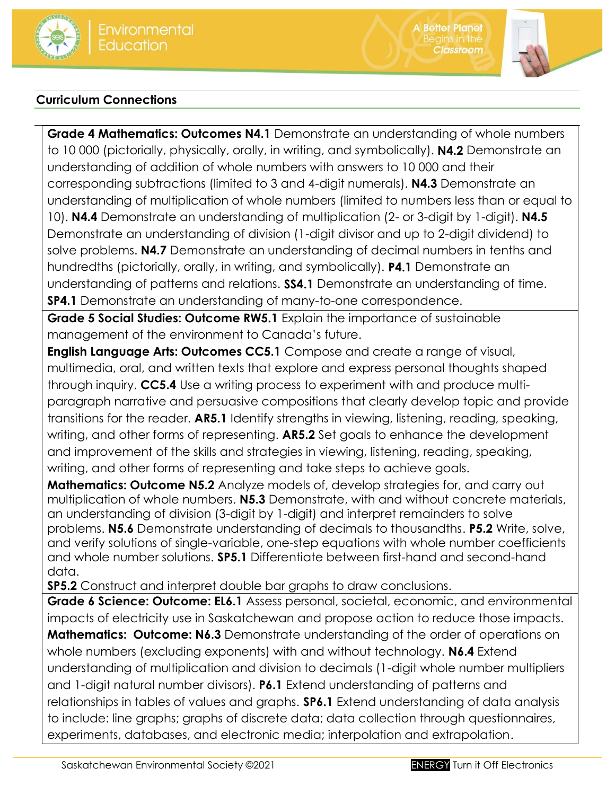



## **Curriculum Connections**

**Grade 4 Mathematics: Outcomes N4.1** Demonstrate an understanding of whole numbers to 10 000 (pictorially, physically, orally, in writing, and symbolically). **N4.2** Demonstrate an understanding of addition of whole numbers with answers to 10 000 and their corresponding subtractions (limited to 3 and 4-digit numerals). **N4.3** Demonstrate an understanding of multiplication of whole numbers (limited to numbers less than or equal to 10). **N4.4** Demonstrate an understanding of multiplication (2- or 3-digit by 1-digit). **N4.5** Demonstrate an understanding of division (1-digit divisor and up to 2-digit dividend) to solve problems. **N4.7** Demonstrate an understanding of decimal numbers in tenths and hundredths (pictorially, orally, in writing, and symbolically). **P4.1** Demonstrate an understanding of patterns and relations. **SS4.1** Demonstrate an understanding of time. **SP4.1** Demonstrate an understanding of many-to-one correspondence.

**Grade 5 Social Studies: Outcome RW5.1** Explain the importance of sustainable management of the environment to Canada's future.

**English Language Arts: Outcomes CC5.1** Compose and create a range of visual, multimedia, oral, and written texts that explore and express personal thoughts shaped through inquiry. **CC5.4** Use a writing process to experiment with and produce multiparagraph narrative and persuasive compositions that clearly develop topic and provide transitions for the reader. **AR5.1** Identify strengths in viewing, listening, reading, speaking, writing, and other forms of representing. **AR5.2** Set goals to enhance the development and improvement of the skills and strategies in viewing, listening, reading, speaking, writing, and other forms of representing and take steps to achieve goals.

**Mathematics: Outcome N5.2** Analyze models of, develop strategies for, and carry out multiplication of whole numbers. **N5.3** Demonstrate, with and without concrete materials, an understanding of division (3-digit by 1-digit) and interpret remainders to solve problems. **N5.6** Demonstrate understanding of decimals to thousandths. **P5.2** Write, solve, and verify solutions of single-variable, one-step equations with whole number coefficients and whole number solutions. **SP5.1** Differentiate between first-hand and second-hand data.

**SP5.2** Construct and interpret double bar graphs to draw conclusions.

**Grade 6 Science: Outcome: EL6.1** Assess personal, societal, economic, and environmental impacts of electricity use in Saskatchewan and propose action to reduce those impacts. **Mathematics: Outcome: N6.3** Demonstrate understanding of the order of operations on whole numbers (excluding exponents) with and without technology. **N6.4** Extend understanding of multiplication and division to decimals (1-digit whole number multipliers and 1-digit natural number divisors). **P6.1** Extend understanding of patterns and relationships in tables of values and graphs. **SP6.1** Extend understanding of data analysis to include: line graphs; graphs of discrete data; data collection through questionnaires, experiments, databases, and electronic media; interpolation and extrapolation.